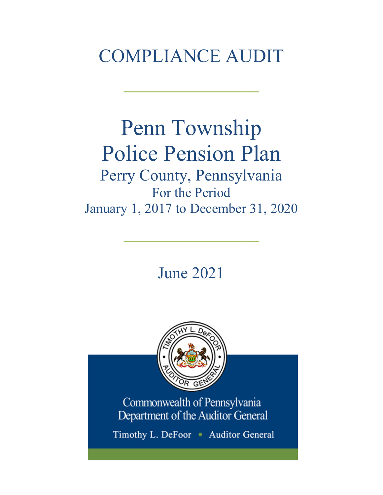# COMPLIANCE AUDIT

 $\frac{1}{2}$ 

# Penn Township Police Pension Plan Perry County, Pennsylvania For the Period

January 1, 2017 to December 31, 2020

 $\frac{1}{2}$ 

June 2021



Commonwealth of Pennsylvania Department of the Auditor General

Timothy L. DeFoor • Auditor General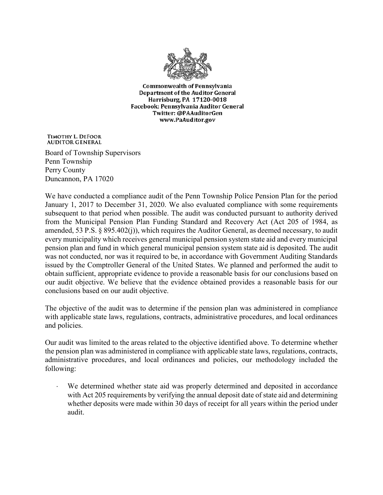

**Commonwealth of Pennsylvania** Department of the Auditor General Harrisburg, PA 17120-0018 Facebook: Pennsylvania Auditor General Twitter: @PAAuditorGen www.PaAuditor.gov

TIMOTHY L. DEFOOR **AUDITOR GENERAL** 

Board of Township Supervisors Penn Township Perry County Duncannon, PA 17020

We have conducted a compliance audit of the Penn Township Police Pension Plan for the period January 1, 2017 to December 31, 2020. We also evaluated compliance with some requirements subsequent to that period when possible. The audit was conducted pursuant to authority derived from the Municipal Pension Plan Funding Standard and Recovery Act (Act 205 of 1984, as amended, 53 P.S. § 895.402(j)), which requires the Auditor General, as deemed necessary, to audit every municipality which receives general municipal pension system state aid and every municipal pension plan and fund in which general municipal pension system state aid is deposited. The audit was not conducted, nor was it required to be, in accordance with Government Auditing Standards issued by the Comptroller General of the United States. We planned and performed the audit to obtain sufficient, appropriate evidence to provide a reasonable basis for our conclusions based on our audit objective. We believe that the evidence obtained provides a reasonable basis for our conclusions based on our audit objective.

The objective of the audit was to determine if the pension plan was administered in compliance with applicable state laws, regulations, contracts, administrative procedures, and local ordinances and policies.

Our audit was limited to the areas related to the objective identified above. To determine whether the pension plan was administered in compliance with applicable state laws, regulations, contracts, administrative procedures, and local ordinances and policies, our methodology included the following:

We determined whether state aid was properly determined and deposited in accordance with Act 205 requirements by verifying the annual deposit date of state aid and determining whether deposits were made within 30 days of receipt for all years within the period under audit.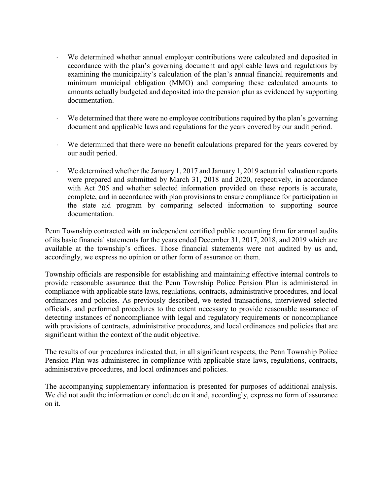- ⋅ We determined whether annual employer contributions were calculated and deposited in accordance with the plan's governing document and applicable laws and regulations by examining the municipality's calculation of the plan's annual financial requirements and minimum municipal obligation (MMO) and comparing these calculated amounts to amounts actually budgeted and deposited into the pension plan as evidenced by supporting documentation.
- We determined that there were no employee contributions required by the plan's governing document and applicable laws and regulations for the years covered by our audit period.
- We determined that there were no benefit calculations prepared for the years covered by our audit period.
- We determined whether the January 1, 2017 and January 1, 2019 actuarial valuation reports were prepared and submitted by March 31, 2018 and 2020, respectively, in accordance with Act 205 and whether selected information provided on these reports is accurate, complete, and in accordance with plan provisions to ensure compliance for participation in the state aid program by comparing selected information to supporting source documentation.

Penn Township contracted with an independent certified public accounting firm for annual audits of its basic financial statements for the years ended December 31, 2017, 2018, and 2019 which are available at the township's offices. Those financial statements were not audited by us and, accordingly, we express no opinion or other form of assurance on them.

Township officials are responsible for establishing and maintaining effective internal controls to provide reasonable assurance that the Penn Township Police Pension Plan is administered in compliance with applicable state laws, regulations, contracts, administrative procedures, and local ordinances and policies. As previously described, we tested transactions, interviewed selected officials, and performed procedures to the extent necessary to provide reasonable assurance of detecting instances of noncompliance with legal and regulatory requirements or noncompliance with provisions of contracts, administrative procedures, and local ordinances and policies that are significant within the context of the audit objective.

The results of our procedures indicated that, in all significant respects, the Penn Township Police Pension Plan was administered in compliance with applicable state laws, regulations, contracts, administrative procedures, and local ordinances and policies.

The accompanying supplementary information is presented for purposes of additional analysis. We did not audit the information or conclude on it and, accordingly, express no form of assurance on it.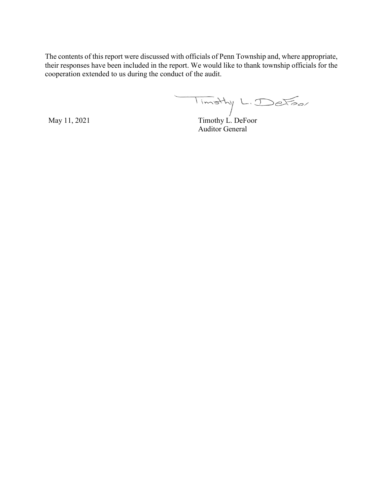The contents of this report were discussed with officials of Penn Township and, where appropriate, their responses have been included in the report. We would like to thank township officials for the cooperation extended to us during the conduct of the audit.

Timothy L. Detoor

May 11, 2021 Timothy L. DeFoor Auditor General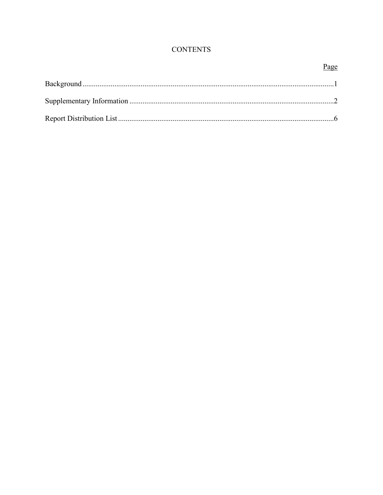## **CONTENTS**

## Page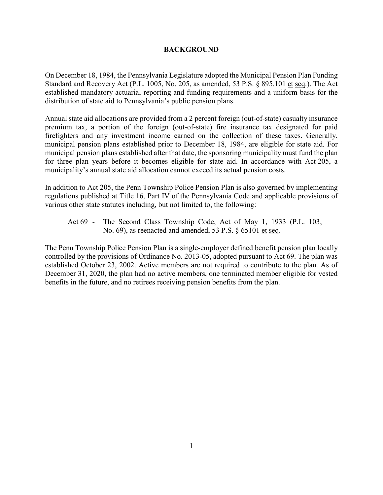#### **BACKGROUND**

On December 18, 1984, the Pennsylvania Legislature adopted the Municipal Pension Plan Funding Standard and Recovery Act (P.L. 1005, No. 205, as amended, 53 P.S. § 895.101 et seq.). The Act established mandatory actuarial reporting and funding requirements and a uniform basis for the distribution of state aid to Pennsylvania's public pension plans.

Annual state aid allocations are provided from a 2 percent foreign (out-of-state) casualty insurance premium tax, a portion of the foreign (out-of-state) fire insurance tax designated for paid firefighters and any investment income earned on the collection of these taxes. Generally, municipal pension plans established prior to December 18, 1984, are eligible for state aid. For municipal pension plans established after that date, the sponsoring municipality must fund the plan for three plan years before it becomes eligible for state aid. In accordance with Act 205, a municipality's annual state aid allocation cannot exceed its actual pension costs.

In addition to Act 205, the Penn Township Police Pension Plan is also governed by implementing regulations published at Title 16, Part IV of the Pennsylvania Code and applicable provisions of various other state statutes including, but not limited to, the following:

Act 69 - The Second Class Township Code, Act of May 1, 1933 (P.L. 103, No. 69), as reenacted and amended, 53 P.S. § 65101 et seq.

The Penn Township Police Pension Plan is a single-employer defined benefit pension plan locally controlled by the provisions of Ordinance No. 2013-05, adopted pursuant to Act 69. The plan was established October 23, 2002. Active members are not required to contribute to the plan. As of December 31, 2020, the plan had no active members, one terminated member eligible for vested benefits in the future, and no retirees receiving pension benefits from the plan.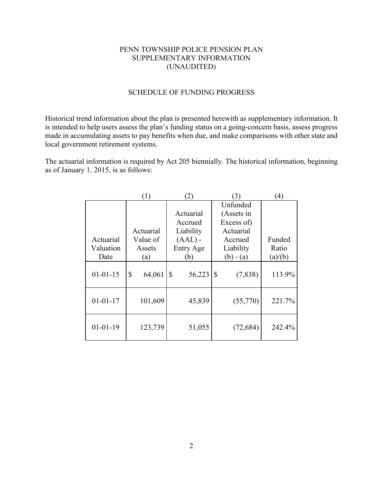## PENN TOWNSHIP POLICE PENSION PLAN SUPPLEMENTARY INFORMATION (UNAUDITED)

## SCHEDULE OF FUNDING PROGRESS

Historical trend information about the plan is presented herewith as supplementary information. It is intended to help users assess the plan's funding status on a going-concern basis, assess progress made in accumulating assets to pay benefits when due, and make comparisons with other state and local government retirement systems.

The actuarial information is required by Act 205 biennially. The historical information, beginning as of January 1, 2015, is as follows:

|                | (1)          | (2)          | 3)            | $\left( 4\right)$ |
|----------------|--------------|--------------|---------------|-------------------|
|                |              |              | Unfunded      |                   |
|                |              | Actuarial    | (Assets in    |                   |
|                |              | Accrued      | Excess of)    |                   |
|                | Actuarial    | Liability    | Actuarial     |                   |
| Actuarial      | Value of     | $(AAL)$ -    | Accrued       | Funded            |
| Valuation      | Assets       | Entry Age    | Liability     | Ratio             |
| Date           | (a)          | (b)          | $(b) - (a)$   | (a)/(b)           |
| $01 - 01 - 15$ | \$<br>64,061 | 56,223<br>\$ | \$<br>(7,838) | 113.9%            |
| $01 - 01 - 17$ | 101,609      | 45,839       | (55,770)      | 221.7%            |
| $01 - 01 - 19$ | 123,739      | 51,055       | (72, 684)     | 242.4%            |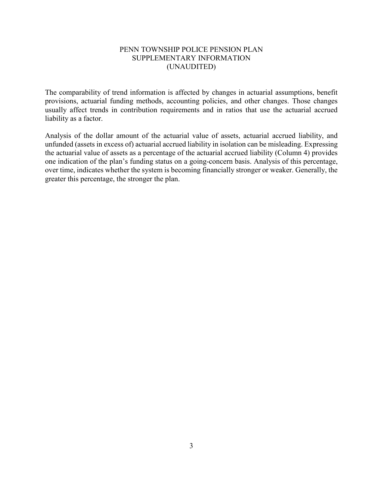#### PENN TOWNSHIP POLICE PENSION PLAN SUPPLEMENTARY INFORMATION (UNAUDITED)

The comparability of trend information is affected by changes in actuarial assumptions, benefit provisions, actuarial funding methods, accounting policies, and other changes. Those changes usually affect trends in contribution requirements and in ratios that use the actuarial accrued liability as a factor.

Analysis of the dollar amount of the actuarial value of assets, actuarial accrued liability, and unfunded (assets in excess of) actuarial accrued liability in isolation can be misleading. Expressing the actuarial value of assets as a percentage of the actuarial accrued liability (Column 4) provides one indication of the plan's funding status on a going-concern basis. Analysis of this percentage, over time, indicates whether the system is becoming financially stronger or weaker. Generally, the greater this percentage, the stronger the plan.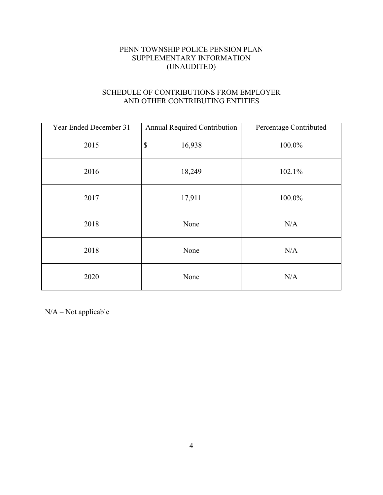## PENN TOWNSHIP POLICE PENSION PLAN SUPPLEMENTARY INFORMATION (UNAUDITED)

## SCHEDULE OF CONTRIBUTIONS FROM EMPLOYER AND OTHER CONTRIBUTING ENTITIES

| Year Ended December 31 | <b>Annual Required Contribution</b> | Percentage Contributed |
|------------------------|-------------------------------------|------------------------|
| 2015                   | $\boldsymbol{\mathsf{S}}$<br>16,938 | 100.0%                 |
| 2016                   | 18,249                              | 102.1%                 |
| 2017                   | 17,911                              | 100.0%                 |
| 2018                   | None                                | N/A                    |
| 2018                   | None                                | N/A                    |
| 2020                   | None                                | N/A                    |

N/A – Not applicable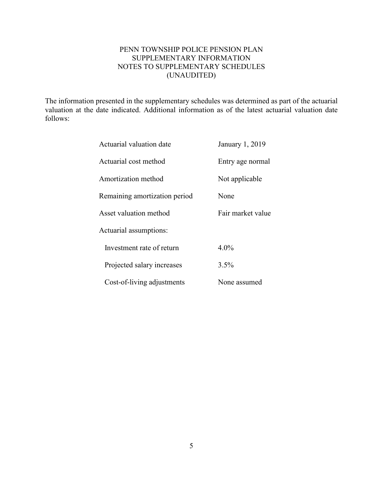## PENN TOWNSHIP POLICE PENSION PLAN SUPPLEMENTARY INFORMATION NOTES TO SUPPLEMENTARY SCHEDULES (UNAUDITED)

The information presented in the supplementary schedules was determined as part of the actuarial valuation at the date indicated. Additional information as of the latest actuarial valuation date follows:

| Actuarial valuation date      | January 1, 2019   |
|-------------------------------|-------------------|
| Actuarial cost method         | Entry age normal  |
| Amortization method           | Not applicable    |
| Remaining amortization period | None              |
| Asset valuation method        | Fair market value |
| Actuarial assumptions:        |                   |
| Investment rate of return     | $4.0\%$           |
| Projected salary increases    | 3.5%              |
| Cost-of-living adjustments    | None assumed      |